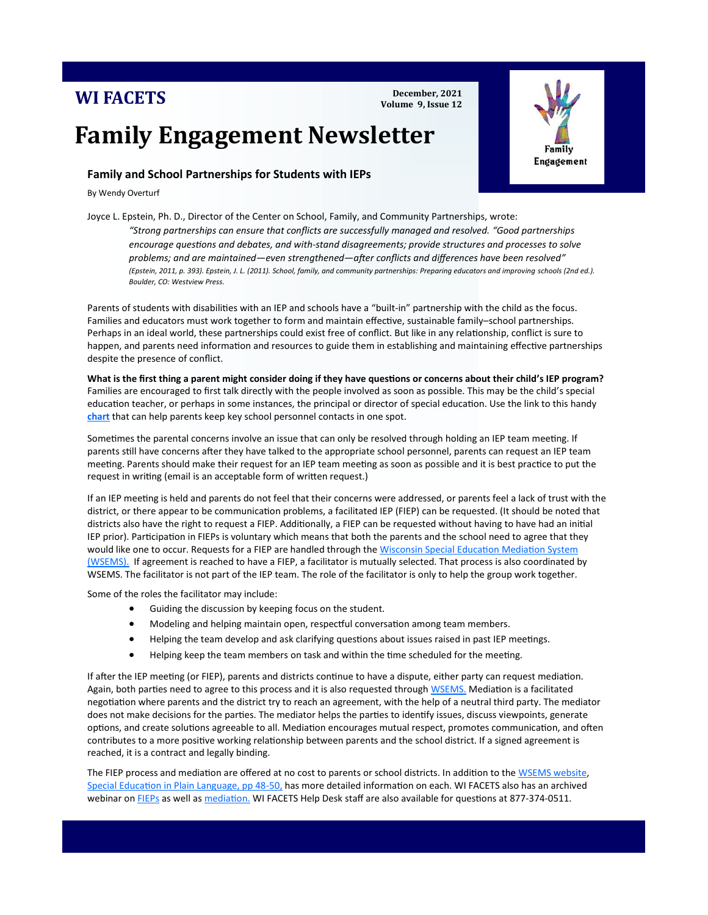## **WI FACETS**

**December, 2021 Volume 9, Issue 12**

# **Family Engagement Newsletter**

## **Family and School Partnerships for Students with IEPs**

By Wendy Overturf

Joyce L. Epstein, Ph. D., Director of the Center on School, Family, and Community Partnerships, wrote: *"Strong partnerships can ensure that conflicts are successfully managed and resolved. "Good partnerships encourage questions and debates, and with-stand disagreements; provide structures and processes to solve problems; and are maintained—even strengthened—after conflicts and differences have been resolved" (Epstein, 2011, p. 393). Epstein, J. L. (2011). School, family, and community partnerships: Preparing educators and improving schools (2nd ed.). Boulder, CO: Westview Press.*

Parents of students with disabilities with an IEP and schools have a "built-in" partnership with the child as the focus. Families and educators must work together to form and maintain effective, sustainable family–school partnerships. Perhaps in an ideal world, these partnerships could exist free of conflict. But like in any relationship, conflict is sure to happen, and parents need information and resources to guide them in establishing and maintaining effective partnerships despite the presence of conflict.

**What is the first thing a parent might consider doing if they have questions or concerns about their child's IEP program?** Families are encouraged to first talk directly with the people involved as soon as possible. This may be the child's special education teacher, or perhaps in some instances, the principal or director of special education. Use the link to this handy **[chart](https://wspei.org/documents/cof-english-4-1-.pdf)** that can help parents keep key school personnel contacts in one spot.

Sometimes the parental concerns involve an issue that can only be resolved through holding an IEP team meeting. If parents still have concerns after they have talked to the appropriate school personnel, parents can request an IEP team meeting. Parents should make their request for an IEP team meeting as soon as possible and it is best practice to put the request in writing (email is an acceptable form of written request.)

If an IEP meeting is held and parents do not feel that their concerns were addressed, or parents feel a lack of trust with the district, or there appear to be communication problems, a facilitated IEP (FIEP) can be requested. (It should be noted that districts also have the right to request a FIEP. Additionally, a FIEP can be requested without having to have had an initial IEP prior). Participation in FIEPs is voluntary which means that both the parents and the school need to agree that they would like one to occur. Requests for a FIEP are handled through the Wisconsin Special Education Mediation System [\(WSEMS\).](http://www.wsems.us) If agreement is reached to have a FIEP, a facilitator is mutually selected. That process is also coordinated by WSEMS. The facilitator is not part of the IEP team. The role of the facilitator is only to help the group work together.

Some of the roles the facilitator may include:

- Guiding the discussion by keeping focus on the student.
- Modeling and helping maintain open, respectful conversation among team members.
- Helping the team develop and ask clarifying questions about issues raised in past IEP meetings.
- Helping keep the team members on task and within the time scheduled for the meeting.

If after the IEP meeting (or FIEP), parents and districts continue to have a dispute, either party can request mediation. Again, both parties need to agree to this process and it is also requested through [WSEMS.](http://www.wsems.us) Mediation is a facilitated negotiation where parents and the district try to reach an agreement, with the help of a neutral third party. The mediator does not make decisions for the parties. The mediator helps the parties to identify issues, discuss viewpoints, generate options, and create solutions agreeable to all. Mediation encourages mutual respect, promotes communication, and often contributes to a more positive working relationship between parents and the school district. If a signed agreement is reached, it is a contract and legally binding.

The FIEP process and mediation are offered at no cost to parents or school districts. In addition to the WSEMS website, [Special Education in Plain Language, pp 48](https://dpi.wi.gov/sites/default/files/imce/sped/pdf/spec-ed-plain-lang-english.pdf)-50, has more detailed information on each. WI FACETS also has an archived webinar on **[FIEPs](https://register.gotowebinar.com/register/4755631193538948880)** as well as **mediation**. WI FACETS Help Desk staff are also available for questions at 877-374-0511.

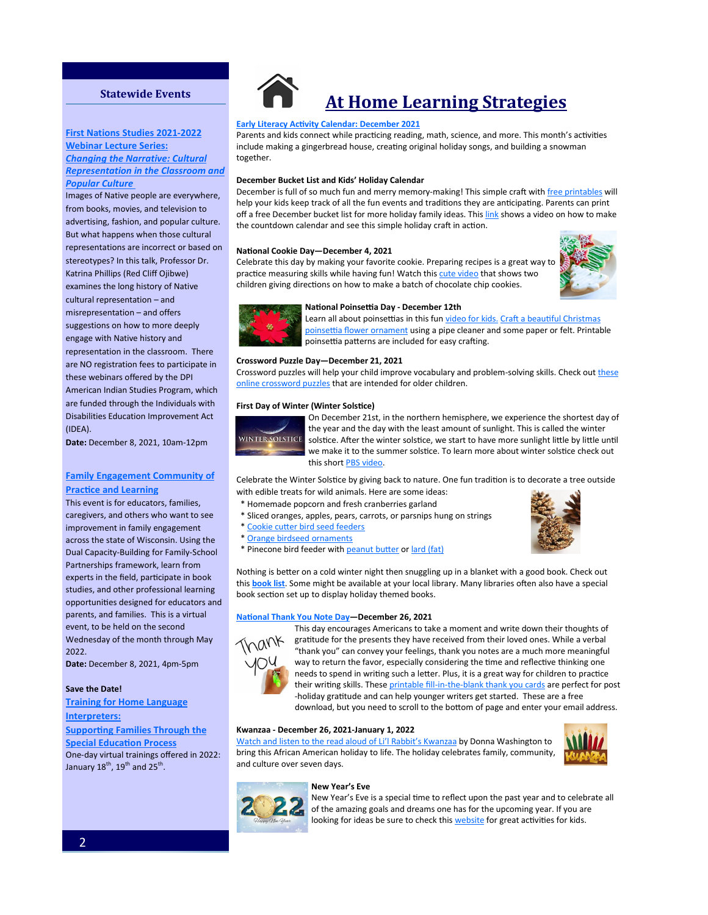### **Statewide Events**

## **[First Nations Studies 2021](https://dpi.wi.gov/amind/events/first-nations-studies-2021-2022-webinar-lecture-series-changing-narrative-cultural)-2022 <u>Webinar Lecture Series:</u>**  $\blacksquare$

*<u>Changing the Narrative: Cultural</u> Representation in the Classroom and* special health care needs. *[Popular Culture](https://dpi.wi.gov/amind/events/first-nations-studies-2021-2022-webinar-lecture-series-changing-narrative-cultural)* <u>Popului Culture</u>

Images of Native people are everywhere, **Autism Society of Wisconsin's 30th**  [advertising, fashion, and popular cult](https://www.asw4autism.org/event-cal/30th-annual-conference/)ure. [But what happens wh](https://www.asw4autism.org/event-cal/30th-annual-conference/)en those cultural representations are incorrect or based on stereotypes? In this talk, Professor Dr. Katrina Phillips (Red Cliff Ojibwe) examines the long history of Native cultural representation - and misrepresentation – and offers **Location: Kalahari Resort and Convention:** suggestions on how to more deeply [representation in the classroom. T](http://www.uww.edu/ce/camps/additional/ecc)here **Conference** [are NO registr](http://www.uww.edu/ce/camps/additional/ecc)ation fees to participate in these webinars offered by the DPI American Indian Studies Program, which are funded through the Individuals with Disabilities Education Improvement Act Providers as We Take on Some of the Big  $T_{\rm T}$ from books, movies, and television to engage with Native history and (IDEA).

**Date:** December 8, 2021, 10am-12pm

#### information sharing, hands on activities, **Family Engagement Community of [Practice and Learning](https://drive.google.com/file/d/1UugORReqojIxoxrbRqqsNsL5s8mbF7Hk/view) constraints**

This event is for educators, families, caregivers, and others who want to see improvement in family engagement across the state of Wisconsin. Using the Dual Capacity-Building for Family-School **Date: Departy Date: April 12-13, 2019** rature sings maillework, learn nome<br>experts in the field, participate in book **Circles of Life Conference-Save the Date!** [studies, and other professional learning](http://www.circlesoflifeconference.com/)  opportunities designed for educators and parents, and families. This is a virtual event, to be held on the second Wednesday of the month through May **Date:** May 2-3, 2019 2022.

Date: December 8, 2021, 4pm-5pm

#### **Save the Date!**

**2019 Endless Possibilities Conference: Training for Home Language Disabilities- Save the Date! [Interpreters:](https://wifacets.org/training/2021-22-connections-home-language-interpreters)**

**Supporting Families Through the** 

2, *Transforming the Impossible to*  **[Special Education Process](https://wifacets.org/training/2021-22-connections-home-language-interpreters)** *Possible—Journey from Special Education*  One-day virtual trainings offered in 2022: January  $18^{\text{th}}$ ,  $19^{\text{th}}$  and  $25^{\text{th}}$ .



## **At Home Learning Strategies**

#### **[Early Literacy Activity Calendar: December 2021](https://ideas.demco.com/blog/early-literacy-activity-calendar-december-2021/)**

Parents and kids connect while practicing reading, math, science, and more. This month's activities include making a gingerbread house, creating original holiday songs, and building a snowman together.

#### **December Bucket List and Kids' Holiday Calendar**

December is full of so much fun and merry memory-making! This simple craft with [free printables](https://www.thispilgrimlife.com/december-bucket-list-kids-holiday-calendar/) will help your kids keep track of all the fun events and traditions they are anticipating. Parents can print off a free December bucket list for more holiday family ideas. This [link](https://www.youtube.com/watch?v=JvViSz50i3Q) shows a video on how to make the countdown calendar and see this simple holiday craft in action.

#### **National Cookie Day—December 4, 2021**

Celebrate this day by making your favorite cookie. Preparing recipes is a great way to practice measuring skills while having fun! Watch this [cute video](http://www.hellokids.com/c_30941/daily-kids-news/national-cookie-day) that shows two children giving directions on how to make a batch of chocolate chip cookies.





#### **National Poinsettia Day - December 12th**

Learn all about poinsettias in this fun [video for kids.](https://www.youtube.com/watch?v=ymgdsWr326A) Craft a beautiful Christmas [poinsettia flower ornament](https://www.firstpalette.com/craft/poinsettia-ornament.html) using a pipe cleaner and some paper or felt. Printable poinsettia patterns are included for easy crafting.

#### **Crossword Puzzle Day—December 21, 2021**

Crossword puzzles will help your child improve vocabulary and problem-solving skills. Check out [these](https://lovattspuzzles.com/kids/childrens-online-puzzles/spellbound/)  [online crossword puzzles](https://lovattspuzzles.com/kids/childrens-online-puzzles/spellbound/) that are intended for older children.

#### **First Day of Winter (Winter Solstice)**



On December 21st, in the northern hemisphere, we experience the shortest day of the year and the day with the least amount of sunlight. This is called the winter solstice. After the winter solstice, we start to have more sunlight little by little until we make it to the summer solstice. To learn more about winter solstice check out this short [PBS video.](https://www.youtube.com/watch?v=DGrosW14M-E)

Celebrate the Winter Solstice by giving back to nature. One fun tradition is to decorate a tree outside with edible treats for wild animals. Here are some ideas:

- \* Homemade popcorn and fresh cranberries garland
- \* Sliced oranges, apples, pears, carrots, or parsnips hung on strings
- \* [Cookie cutter bird seed feeders](http://mamapapabubba.com/2012/11/14/cookie-cutter-bird-seed-feeders-a-toddler-friendly-method/)
- \* [Orange birdseed ornaments](http://www.bystephanielynn.com/2013/12/orange-birdseed-ornaments-homemade-citrus-bird-feeders.html)
- \* Pinecone bird feeder with [peanut butter](http://www.theoutdoorparent.com/?p=645) or [lard \(fat\)](https://babbledabbledo.com/science-for-kids-pinecone-birdfeeders/)

Nothing is better on a cold winter night then snuggling up in a blanket with a good book. Check out this **[book list](https://wehavekids.com/education/Great-Books-to-Read-with-Your-Kids-in-December)**. Some might be available at your local library. Many libraries often also have a special book section set up to display holiday themed books.

#### **[National Thank You Note Day—D](https://www.timeanddate.com/holidays/fun/thank-you-note-day#:~:text=Fun%20Holiday%3A%20Thank%20You%20Note%20Day%20Observances%20,%20%20Thu%20%206%20more%20rows%20)ecember 26, 2021**



This day encourages Americans to take a moment and write down their thoughts of gratitude for the presents they have received from their loved ones. While a verbal "thank you" can convey your feelings, thank you notes are a much more meaningful way to return the favor, especially considering the time and reflective thinking one needs to spend in writing such a letter. Plus, it is a great way for children to practice their writing skills. These printable fill-in-the-[blank thank you cards](https://kidsactivitiesblog.com/22900/printable-fill-in-the-blank-thank-you-cards/) are perfect for post -holiday gratitude and can help younger writers get started. These are a free download, but you need to scroll to the bottom of page and enter your email address.

#### **Kwanzaa - December 26, 2021-January 1, 2022**

[Watch and listen to the read aloud of Li](https://www.youtube.com/watch?v=f49kg8DMZyA)'l Rabbit's Kwanzaa by Donna Washington to bring this African American holiday to life. The holiday celebrates family, community, and culture over seven days.



#### **New Year's Eve**



New Year's Eve is a special time to reflect upon the past year and to celebrate all of the amazing goals and dreams one has for the upcoming year. If you are looking for ideas be sure to check this [website](https://www.happinessishomemade.net/10-new-years-eve-activities-for-kids/) for great activities for kids.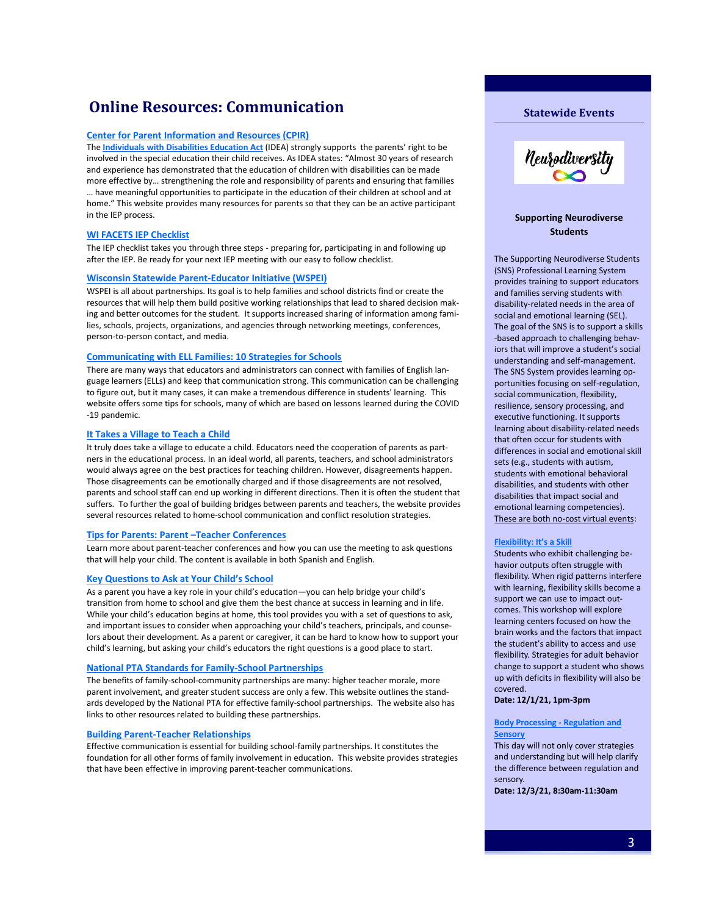## **Online Resources: Communication**

#### **[Center for Parent Information and Resources \(CPIR\)](http://www.parentcenterhub.org/qa2/)**

The **[Individuals with Disabilities Education Act](https://www.parentcenterhub.org/repository/idea/)** (IDEA) strongly supports the parents' right to be involved in the special education their child receives. As IDEA states: "Almost 30 years of research and experience has demonstrated that the education of children with disabilities can be made more effective by… strengthening the role and responsibility of parents and ensuring that families … have meaningful opportunities to participate in the education of their children at school and at home." This website provides many resources for parents so that they can be an active participant in the IEP process.

#### **[WI FACETS IEP Checklist](https://wifacets.org/sites/default/files/iep_checklist.pdf)**

The IEP checklist takes you through three steps - preparing for, participating in and following up after the IEP. Be ready for your next IEP meeting with our easy to follow checklist.

#### **[Wisconsin Statewide Parent](http://wspei.org/)-Educator Initiative (WSPEI)**

WSPEI is all about partnerships. Its goal is to help families and school districts find or create the resources that will help them build positive working relationships that lead to shared decision making and better outcomes for the student. It supports increased sharing of information among families, schools, projects, organizations, and agencies through networking meetings, conferences, person-to-person contact, and media.

#### **[Communicating with ELL Families: 10 Strategies for Schools](https://www.nea.org/professional-excellence/student-engagement/tools-tips/communicating-ell-families-10-strategies)**

There are many ways that educators and administrators can connect with families of English language learners (ELLs) and keep that communication strong. This communication can be challenging to figure out, but it many cases, it can make a tremendous difference in students' learning. This website offers some tips for schools, many of which are based on lessons learned during the COVID -19 pandemic.

#### **[It Takes a Village to Teach a Child](http://parents-teachers.com/lib/Disagreements_Between_Parents_And_Teachers_-_Handling_Them_Productively/)**

It truly does take a village to educate a child. Educators need the cooperation of parents as partners in the educational process. In an ideal world, all parents, teachers, and school administrators would always agree on the best practices for teaching children. However, disagreements happen. Those disagreements can be emotionally charged and if those disagreements are not resolved, parents and school staff can end up working in different directions. Then it is often the student that suffers. To further the goal of building bridges between parents and teachers, the website provides several resources related to home-school communication and conflict resolution strategies.

#### **[Tips for Parents: Parent –Teacher Conferences](http://www.colorincolorado.org/article/tips-parents-parent-teacher-conferences)**

Learn more about parent-teacher conferences and how you can use the meeting to ask questions that will help your child. The content is available in both Spanish and English.

#### **[Key Questions to Ask at Your Child](https://www.pta.org/docs/default-source/files/programs/national-standards-for-family-school-partnerships/embargoed-parent-check-list.pdf)'s School**

As a parent you have a key role in your child's education—you can help bridge your child's transition from home to school and give them the best chance at success in learning and in life. While your child's education begins at home, this tool provides you with a set of questions to ask, and important issues to consider when approaching your child's teachers, principals, and counselors about their development. As a parent or caregiver, it can be hard to know how to support your child's learning, but asking your child's educators the right questions is a good place to start.

#### **[National PTA Standards for Family](https://www.pta.org/home/run-your-pta/National-Standards-for-Family-School-Partnerships)-School Partnerships**

The benefits of family-school-community partnerships are many: higher teacher morale, more parent involvement, and greater student success are only a few. This website outlines the standards developed by the National PTA for effective family-school partnerships. The website also has links to other resources related to building these partnerships.

#### **Building Parent-[Teacher Relationships](http://www.readingrockets.org/article/building-parent-teacher-relationships)**

Effective communication is essential for building school-family partnerships. It constitutes the foundation for all other forms of family involvement in education.This website provides strategies that have been effective in improving parent-teacher communications.





#### **Supporting Neurodiverse Students**

The Supporting Neurodiverse Students (SNS) Professional Learning System provides training to support educators and families serving students with disability-related needs in the area of social and emotional learning (SEL). The goal of the SNS is to support a skills -based approach to challenging behaviors that will improve a student's social understanding and self-management. The SNS System provides learning opportunities focusing on self-regulation, social communication, flexibility, resilience, sensory processing, and executive functioning. It supports learning about disability-related needs that often occur for students with differences in social and emotional skill sets (e.g., students with autism, students with emotional behavioral disabilities, and students with other disabilities that impact social and emotional learning competencies). These are both no-cost virtual events:

#### **[Flexibility: It](https://cesa1.app.neoncrm.com/np/clients/cesa1/event.jsp?event=2754&)'s a Skill**

Students who exhibit challenging behavior outputs often struggle with flexibility. When rigid patterns interfere with learning, flexibility skills become a support we can use to impact outcomes. This workshop will explore learning centers focused on how the brain works and the factors that impact the student's ability to access and use flexibility. Strategies for adult behavior change to support a student who shows up with deficits in flexibility will also be covered.

#### **Date: 12/1/21, 1pm-3pm**

#### **[Body Processing](https://cesa1.app.neoncrm.com/np/clients/cesa1/event.jsp?event=2950&) - Regulation and [Sensory](https://cesa1.app.neoncrm.com/np/clients/cesa1/event.jsp?event=2950&)**

This day will not only cover strategies and understanding but will help clarify the difference between regulation and sensory.

**Date: 12/3/21, 8:30am-11:30am**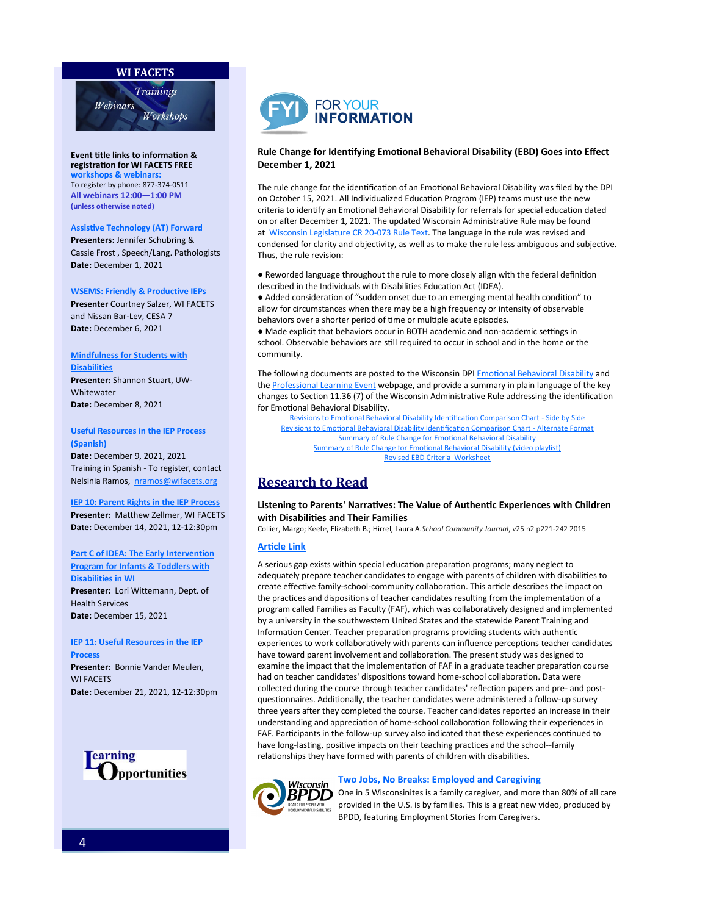#### **WI FACETS**



**Event title links to information [&](http://www.wifacets.org/events)  registration for WI FACETS FREE workshops & w**e To register by phone: 877-374-0511 **All webinars 12:00—1:00 PM (unless otherwise noted)**

#### **[Assistive Technology \(AT\) Forward](https://wifacets.org/events/event/assistive-technology-forward)**

**Presenters:** Jennifer Schubring & Cassie Frost , Speech/Lang. Pathologists **Date:** December 1, 2021

#### **[WSEMS: Friendly & Productive IEPs](https://wifacets.org/events/event/wsems-friendly-productive-ieps-2)**

**Presenter** Courtney Salzer, WI FACETS and Nissan Bar-Lev, CESA 7 **Date:** December 6, 2021

#### **[Mindfulness for Students with](https://wifacets.org/events/event/mindfulness-students-disabilities-0)  [Disabilities](https://wifacets.org/events/event/mindfulness-students-disabilities-0)**

**Presenter:** Shannon Stuart, UW-**Whitewater Date:** December 8, 2021

#### **[Useful Resources in the IEP Process](https://wifacets.org/events/event/useful-resources-iep-process-spanish)  [\(Spanish\)](https://wifacets.org/events/event/useful-resources-iep-process-spanish)**

**Date:** December 9, 2021, 2021 Training in Spanish - To register, contact Nelsinia Ramos, [nramos@wifacets.org](mailto:nramos@wifacets.org)

#### **[IEP 10: Parent Rights in the IEP Process](https://wifacets.org/events/event/iep-10-parent-rights-iep-process-0)**

**Presenter:** Matthew Zellmer, WI FACETS **Date:** December 14, 2021, 12-12:30pm

### **[Part C of IDEA: The Early Intervention](https://wifacets.org/events/event/part-c-idea-early-intervention-program-infants-toddlers-disabilities-wi)  [Program for Infants & Toddlers with](https://wifacets.org/events/event/part-c-idea-early-intervention-program-infants-toddlers-disabilities-wi)  [Disabilities in WI](https://wifacets.org/events/event/part-c-idea-early-intervention-program-infants-toddlers-disabilities-wi)**

**Presenter:** Lori Wittemann, Dept. of Health Services **Date:** December 15, 2021

#### **[IEP 11: Useful Resources in the IEP](https://wifacets.org/events/event/iep-11-useful-resources-iep-process-0)  [Process](https://wifacets.org/events/event/iep-11-useful-resources-iep-process-0)**

**Presenter:** Bonnie Vander Meulen, WI FACETS **Date:** December 21, 2021, 12-12:30pm





#### **Rule Change for Identifying Emotional Behavioral Disability (EBD) Goes into Effect December 1, 2021**

The rule change for the identification of an Emotional Behavioral Disability was filed by the DPI on October 15, 2021. All Individualized Education Program (IEP) teams must use the new criteria to identify an Emotional Behavioral Disability for referrals for special education dated on or after December 1, 2021. The updated Wisconsin Administrative Rule may be found at [Wisconsin Legislature CR 20](https://docs.legis.wisconsin.gov/code/register/2021/790A3/register/cr/cr_20_073_rule_text/cr_20_073_rule_text)-073 Rule Text. The language in the rule was revised and condensed for clarity and objectivity, as well as to make the rule less ambiguous and subjective. Thus, the rule revision:

● Reworded language throughout the rule to more closely align with the federal definition described in the Individuals with Disabilities Education Act (IDEA).

● Added consideration of "sudden onset due to an emerging mental health condition" to allow for circumstances when there may be a high frequency or intensity of observable behaviors over a shorter period of time or multiple acute episodes.

● Made explicit that behaviors occur in BOTH academic and non-academic settings in school. Observable behaviors are still required to occur in school and in the home or the community.

The following documents are posted to the Wisconsin DPI [Emotional Behavioral Disability](https://dpi.wi.gov/sped/program/emotional-behavioral-disability) and the [Professional Learning Event](https://dpi.wi.gov/sped/program/collaborative-special-education-support/professional-learning-events) webpage, and provide a summary in plain language of the key changes to Section 11.36 (7) of the Wisconsin Administrative Rule addressing the identification for Emotional Behavioral Disability.

[Revisions to Emotional Behavioral Disability Identification Comparison Chart](https://dpi.wi.gov/sites/default/files/imce/sped/pdf/ebd-rule-change-comp-chart.pdf) - Side by Side [Revisions to Emotional Behavioral Disability Identification Comparison Chart](https://dpi.wi.gov/sites/default/files/imce/sped/pdf/ebd-rule-change-comp-chart-af.pdf) - Alternate Format [Summary of Rule Change for Emotional Behavioral Disability](https://dpi.wi.gov/sites/default/files/imce/sped/pdf/ebd-rule-change-12-01-21.pdf) [Summary of Rule Change for Emotional Behavioral Disability \(video playlist\)](https://www.youtube.com/watch?v=NnHy6pZ0QPk&list=PLambIxavELha9KiB_5BHfL-l_QV7jaSUD&index=3&t=10s) [Revised EBD Criteria Worksheet](https://dpi.wi.gov/sites/default/files/imce/sped/pdf/EBD_CRITERIA_WORKSHEET.pdf)

## **Research to Read**

#### **Listening to Parents' Narratives: The Value of Authentic Experiences with Children with Disabilities and Their Families**

Collier, Margo; Keefe, Elizabeth B.; Hirrel, Laura A.*School Community Journal*, v25 n2 p221-242 2015

### **[Article Link](https://files.eric.ed.gov/fulltext/EJ1085720.pdf)**

A serious gap exists within special education preparation programs; many neglect to adequately prepare teacher candidates to engage with parents of children with disabilities to create effective family-school-community collaboration. This article describes the impact on the practices and dispositions of teacher candidates resulting from the implementation of a program called Families as Faculty (FAF), which was collaboratively designed and implemented by a university in the southwestern United States and the statewide Parent Training and Information Center. Teacher preparation programs providing students with authentic experiences to work collaboratively with parents can influence perceptions teacher candidates have toward parent involvement and collaboration. The present study was designed to examine the impact that the implementation of FAF in a graduate teacher preparation course had on teacher candidates' dispositions toward home-school collaboration. Data were collected during the course through teacher candidates' reflection papers and pre- and postquestionnaires. Additionally, the teacher candidates were administered a follow-up survey three years after they completed the course. Teacher candidates reported an increase in their understanding and appreciation of home-school collaboration following their experiences in FAF. Participants in the follow-up survey also indicated that these experiences continued to have long-lasting, positive impacts on their teaching practices and the school--family relationships they have formed with parents of children with disabilities.

#### **[Two Jobs, No Breaks: Employed and Caregiving](https://www.youtube.com/watch?v=I5g2RiOBgxs)**



 $\pmb{BPDD}$  One in 5 Wisconsinites is a family caregiver, and more than 80% of all care provided in the U.S. is by families. This is a great new video, produced by BPDD, featuring Employment Stories from Caregivers.